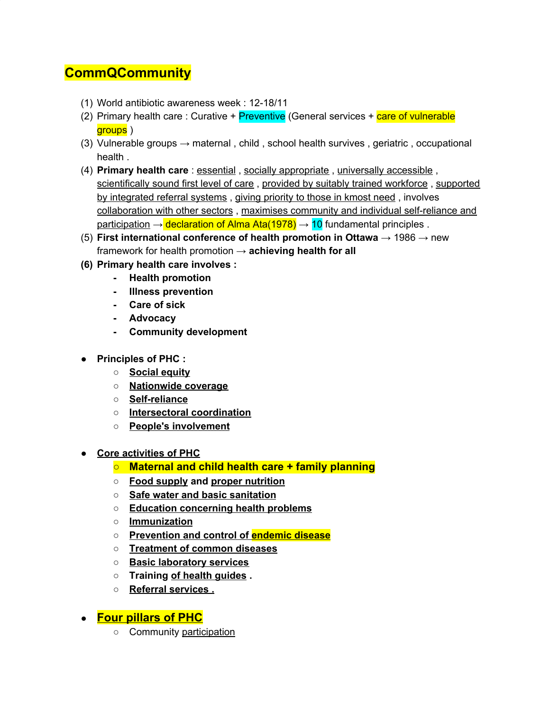## **CommQCommunity**

- (1) World antibiotic awareness week : 12-18/11
- (2) Primary health care: Curative + Preventive (General services + care of vulnerable aroups )
- (3) Vulnerable groups  $\rightarrow$  maternal, child, school health survives, geriatric, occupational health .
- (4) **Primary health care** : essential , socially appropriate , universally accessible , scientifically sound first level of care , provided by suitably trained workforce , supported by integrated referral systems , giving priority to those in kmost need , involves collaboration with other sectors , maximises community and individual self-reliance and participation  $\rightarrow$  declaration of Alma Ata(1978)  $\rightarrow$  10 fundamental principles .
- (5) **First international conference of health promotion in Ottawa** → 1986 → new framework for health promotion → **achieving health for all**
- **(6) Primary health care involves :**
	- **- Health promotion**
	- **- Illness prevention**
	- **- Care of sick**
	- **- Advocacy**
	- **- Community development**
- **● Principles of PHC :**
	- **○ Social equity**
	- **○ Nationwide coverage**
	- **○ Self-reliance**
	- **○ Intersectoral coordination**
	- **○ People's involvement**
- **● Core activities of PHC**
	- **○ Maternal and child health care + family planning**
	- **○ Food supply and proper nutrition**
	- **○ Safe water and basic sanitation**
	- **○ Education concerning health problems**
	- **○ Immunization**
	- **○ Prevention and control of endemic disease**
	- **○ Treatment of common diseases**
	- **○ Basic laboratory services**
	- **○ Training of health guides .**
	- **○ Referral services .**
- **● Four pillars of PHC**
	- o Community participation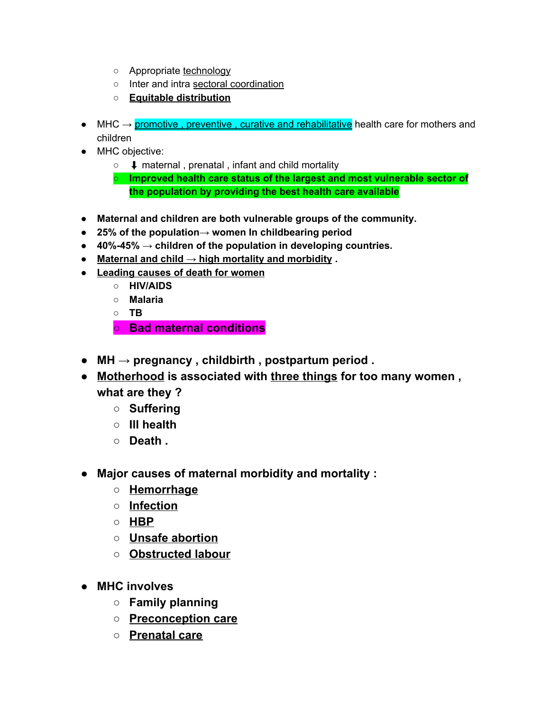- Appropriate technology
- o Inter and intra sectoral coordination
- **Equitable distribution**
- $\bullet$  MHC  $\rightarrow$  promotive, preventive, curative and rehabilitative health care for mothers and children
- MHC objective:
	- ⬇ maternal , prenatal , infant and child mortality
	- **○ Improved health care status of the largest and most vulnerable sector of the population by providing the best health care available**
- **● Maternal and children are both vulnerable groups of the community.**
- **● 25% of the population→ women In childbearing period**
- **● 40%-45% → children of the population in developing countries.**
- **● Maternal and child → high mortality and morbidity .**
- **● Leading causes of death for women**
	- **○ HIV/AIDS**
	- **○ Malaria**
	- **○ TB**

**○ Bad maternal conditions**

- **● MH → pregnancy , childbirth , postpartum period .**
- **● Motherhood is associated with three things for too many women , what are they ?**
	- **○ Suffering**
	- **○ Ill health**
	- **○ Death .**
- **● Major causes of maternal morbidity and mortality :**
	- **○ Hemorrhage**
	- **○ Infection**
	- **○ HBP**
	- **○ Unsafe abortion**
	- **○ Obstructed labour**
- **● MHC involves**
	- **○ Family planning**
	- **○ Preconception care**
	- **○ Prenatal care**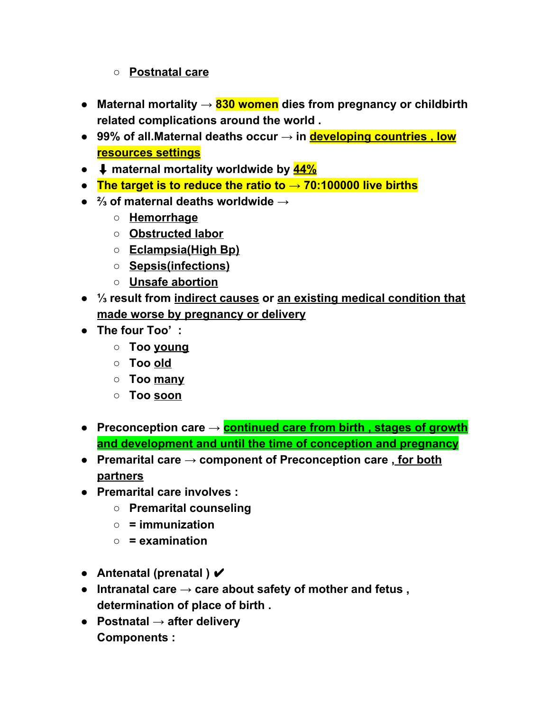## **○ Postnatal care**

- **● Maternal mortality → 830 women dies from pregnancy or childbirth related complications around the world .**
- **● 99% of all.Maternal deaths occur → in developing countries , low resources settings**
- **●** ⬇ **maternal mortality worldwide by 44%**
- **● The target is to reduce the ratio to → 70:100000 live births**
- **● ⅔ of maternal deaths worldwide →**
	- **○ Hemorrhage**
	- **○ Obstructed labor**
	- **○ Eclampsia(High Bp)**
	- **○ Sepsis(infections)**
	- **○ Unsafe abortion**
- **● ⅓ result from indirect causes or an existing medical condition that made worse by pregnancy or delivery**
- **● The four Too' :**
	- **○ Too young**
	- **○ Too old**
	- **○ Too many**
	- **○ Too soon**
- **● Preconception care → continued care from birth , stages of growth and development and until the time of conception and pregnancy**
- **● Premarital care → component of Preconception care , for both partners**
- **● Premarital care involves :**
	- **○ Premarital counseling**
	- **○ = immunization**
	- **○ = examination**
- **● Antenatal (prenatal )** ✔
- **● Intranatal care → care about safety of mother and fetus , determination of place of birth .**
- **● Postnatal → after delivery Components :**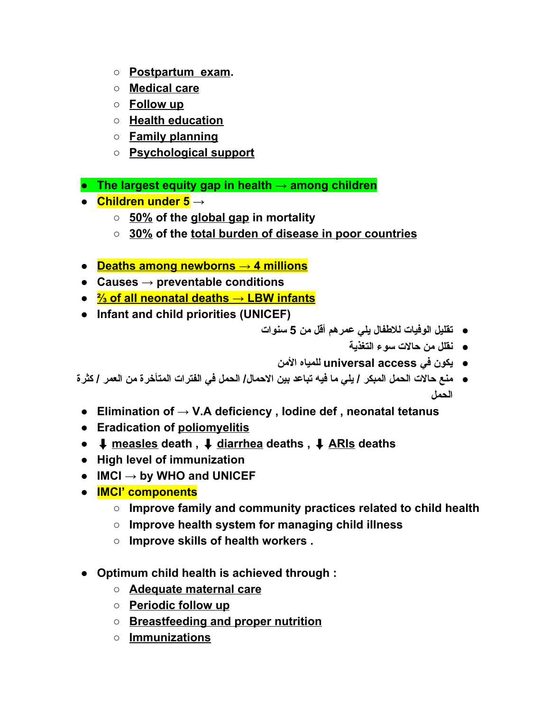- **○ Postpartum exam.**
- **○ Medical care**
- **○ Follow up**
- **○ Health education**
- **○ Family planning**
- **○ Psychological support**
- **● The largest equity gap in health → among children**
- **● Children under 5 →**
	- **○ 50% of the global gap in mortality**
	- **○ 30% of the total burden of disease in poor countries**
- **● Deaths among newborns → 4 millions**
- **● Causes → preventable conditions**
- **● ⅔ of all neonatal deaths → LBW infants**
- **● Infant and child priorities (UNICEF)**
	- **● تقلیل الوفیات للاطفال یلي عمرهم أقل من 5 سنوات**
		- **● نقلل من حالات سوء التغذیة**
		- **● یكون في access universal للمیاه الأمن**
- منـع حالات الحمل المبكر / يلي ما فيه تباعد بين الاحمال/ الحمل في الفترات المتأخر ة من العمر / كثر ة **الحمل**
	- **● Elimination of → V.A deficiency , Iodine def , neonatal tetanus**
	- **● Eradication of poliomyelitis**
	- **●** ⬇ **measles death ,** ⬇ **diarrhea deaths ,** ⬇ **ARIs deaths**
	- **● High level of immunization**
	- **● IMCI → by WHO and UNICEF**
	- **● IMCI' components**
		- **○ Improve family and community practices related to child health**
		- **○ Improve health system for managing child illness**
		- **○ Improve skills of health workers .**
	- **● Optimum child health is achieved through :**
		- **○ Adequate maternal care**
		- **○ Periodic follow up**
		- **○ Breastfeeding and proper nutrition**
		- **○ Immunizations**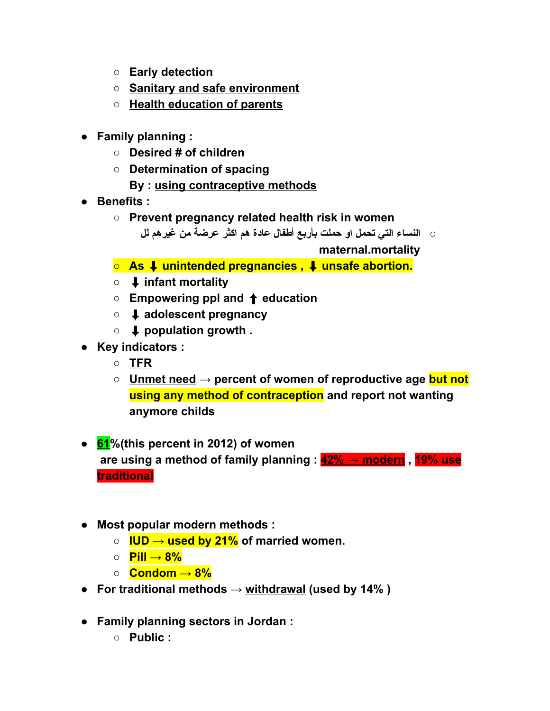- **○ Early detection**
- **○ Sanitary and safe environment**
- **○ Health education of parents**
- **● Family planning :**
	- **○ Desired # of children**
	- **○ Determination of spacing**
		- **By : using contraceptive methods**
- **● Benefits :**
	- **○ Prevent pregnancy related health risk in women**
		- **○ النساء التي تحمل او حملت بأربع أطفال عادة هم اكثر عرضة من غیرهم لل**

**maternal.mortality**

- **○ As** ⬇ **unintended pregnancies ,** ⬇ **unsafe abortion.**
- **○** ⬇ **infant mortality**
- **○ Empowering ppl and** ⬆ **education**
- **○** ⬇ **adolescent pregnancy**
- **○** ⬇ **population growth .**
- **● Key indicators :**
	- **○ TFR**
	- **○ Unmet need → percent of women of reproductive age but not using any method of contraception and report not wanting anymore childs**
- **● 61%(this percent in 2012) of women are using a method of family planning : 42% → modern , 19% use traditional**
- **● Most popular modern methods :**
	- **○ IUD → used by 21% of married women.**
	- **○ Pill → 8%**
	- **○ Condom → 8%**
- **● For traditional methods → withdrawal (used by 14% )**
- **● Family planning sectors in Jordan :**
	- **○ Public :**